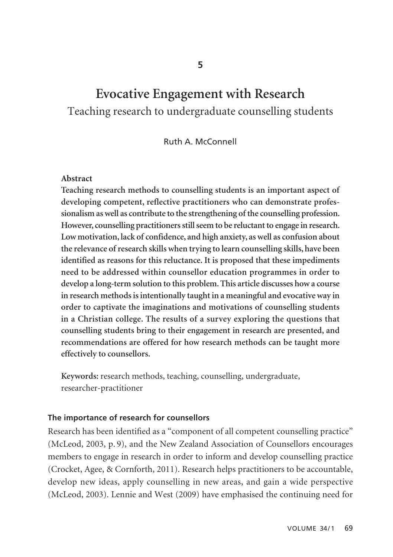# **Evocative Engagement with Research** Teaching research to undergraduate counselling students

Ruth A. McConnell

#### **Abstract**

**Teaching research methods to counselling students is an important aspect of developing competent, reflective practitioners who can demonstrate professionalism as well as contribute to the strengthening of the counselling profession. However, counselling practitioners still seem to be reluctant to engage in research. Low motivation, lack of confidence, and high anxiety, as well as confusion about the relevance of research skills when trying to learn counselling skills, have been identified as reasons for this reluctance. It is proposed that these impediments need to be addressed within counsellor education programmes in order to develop a long-term solution to this problem. This article discusses how a course in research methods is intentionally taught in a meaningful and evocative way in order to captivate the imaginations and motivations of counselling students in a Christian college. The results of a survey exploring the questions that counselling students bring to their engagement in research are presented, and recommendations are offered for how research methods can be taught more effectively to counsellors.** 

**Keywords:** research methods, teaching, counselling, undergraduate, researcher-practitioner

### **The importance of research for counsellors**

Research has been identified as a "component of all competent counselling practice" (McLeod, 2003, p. 9), and the New Zealand Association of Counsellors encourages members to engage in research in order to inform and develop counselling practice (Crocket, Agee, & Cornforth, 2011). Research helps practitioners to be accountable, develop new ideas, apply counselling in new areas, and gain a wide perspective (McLeod, 2003). Lennie and West (2009) have emphasised the continuing need for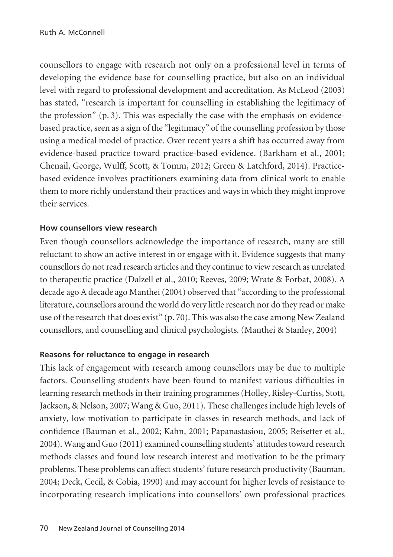counsellors to engage with research not only on a professional level in terms of developing the evidence base for counselling practice, but also on an individual level with regard to professional development and accreditation. As McLeod (2003) has stated, "research is important for counselling in establishing the legitimacy of the profession"  $(p, 3)$ . This was especially the case with the emphasis on evidencebased practice, seen as a sign of the "legitimacy" of the counselling profession by those using a medical model of practice. Over recent years a shift has occurred away from evidence-based practice toward practice-based evidence. (Barkham et al., 2001; Chenail, George, Wulff, Scott, & Tomm, 2012; Green & Latchford, 2014). Practicebased evidence involves practitioners examining data from clinical work to enable them to more richly understand their practices and ways in which they might improve their services.

# **How counsellors view research**

Even though counsellors acknowledge the importance of research, many are still reluctant to show an active interest in or engage with it. Evidence suggests that many counsellors do not read research articles and they continue to view research as unrelated to therapeutic practice (Dalzell et al., 2010; Reeves, 2009; Wrate & Forbat, 2008). A decade ago A decade ago Manthei (2004) observed that "according to the professional literature, counsellors around the world do very little research nor do they read or make use of the research that does exist" (p. 70). This was also the case among New Zealand counsellors, and counselling and clinical psychologists. (Manthei & Stanley, 2004)

# **Reasons for reluctance to engage in research**

This lack of engagement with research among counsellors may be due to multiple factors. Counselling students have been found to manifest various difficulties in learning research methods in their training programmes (Holley, Risley-Curtiss, Stott, Jackson, & Nelson, 2007; Wang & Guo, 2011). These challenges include high levels of anxiety, low motivation to participate in classes in research methods, and lack of confidence (Bauman et al., 2002; Kahn, 2001; Papanastasiou, 2005; Reisetter et al., 2004). Wang and Guo (2011) examined counselling students' attitudes toward research methods classes and found low research interest and motivation to be the primary problems. These problems can affect students' future research productivity (Bauman, 2004; Deck, Cecil, & Cobia, 1990) and may account for higher levels of resistance to incorporating research implications into counsellors' own professional practices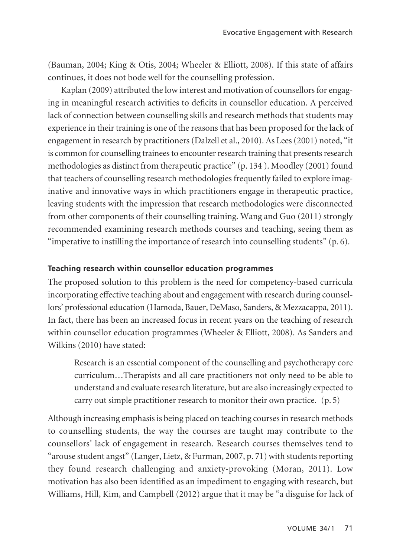(Bauman, 2004; King & Otis, 2004; Wheeler & Elliott, 2008). If this state of affairs continues, it does not bode well for the counselling profession.

Kaplan (2009) attributed the low interest and motivation of counsellors for engaging in meaningful research activities to deficits in counsellor education. A perceived lack of connection between counselling skills and research methods that students may experience in their training is one of the reasons that has been proposed for the lack of engagement in research by practitioners (Dalzell et al., 2010). As Lees (2001) noted, "it is common for counselling trainees to encounter research training that presents research methodologies as distinct from therapeutic practice" (p. 134 ). Moodley (2001) found that teachers of counselling research methodologies frequently failed to explore imaginative and innovative ways in which practitioners engage in therapeutic practice, leaving students with the impression that research methodologies were disconnected from other components of their counselling training. Wang and Guo (2011) strongly recommended examining research methods courses and teaching, seeing them as "imperative to instilling the importance of research into counselling students"  $(p, 6)$ .

# **Teaching research within counsellor education programmes**

The proposed solution to this problem is the need for competency-based curricula incorporating effective teaching about and engagement with research during counsellors' professional education (Hamoda, Bauer, DeMaso, Sanders, & Mezzacappa, 2011). In fact, there has been an increased focus in recent years on the teaching of research within counsellor education programmes (Wheeler & Elliott, 2008). As Sanders and Wilkins (2010) have stated:

Research is an essential component of the counselling and psychotherapy core curriculum…Therapists and all care practitioners not only need to be able to understand and evaluate research literature, but are also increasingly expected to carry out simple practitioner research to monitor their own practice. (p. 5)

Although increasing emphasis is being placed on teaching courses in research methods to counselling students, the way the courses are taught may contribute to the counsellors' lack of engagement in research. Research courses themselves tend to "arouse student angst" (Langer, Lietz, & Furman, 2007, p. 71) with students reporting they found research challenging and anxiety-provoking (Moran, 2011). Low motivation has also been identified as an impediment to engaging with research, but Williams, Hill, Kim, and Campbell (2012) argue that it may be "a disguise for lack of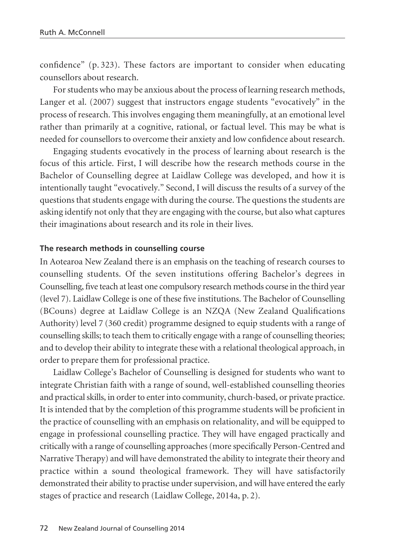confidence" (p. 323). These factors are important to consider when educating counsellors about research.

For students who may be anxious about the process of learning research methods, Langer et al. (2007) suggest that instructors engage students "evocatively" in the process of research. This involves engaging them meaningfully, at an emotional level rather than primarily at a cognitive, rational, or factual level. This may be what is needed for counsellors to overcome their anxiety and low confidence about research.

Engaging students evocatively in the process of learning about research is the focus of this article. First, I will describe how the research methods course in the Bachelor of Counselling degree at Laidlaw College was developed, and how it is intentionally taught "evocatively." Second, I will discuss the results of a survey of the questions that students engage with during the course. The questions the students are asking identify not only that they are engaging with the course, but also what captures their imaginations about research and its role in their lives.

#### **The research methods in counselling course**

In Aotearoa New Zealand there is an emphasis on the teaching of research courses to counselling students. Of the seven institutions offering Bachelor's degrees in Counselling, five teach at least one compulsory research methods course in the third year (level 7). Laidlaw College is one of these five institutions. The Bachelor of Counselling (BCouns) degree at Laidlaw College is an NZQA (New Zealand Qualifications Authority) level 7 (360 credit) programme designed to equip students with a range of counselling skills; to teach them to critically engage with a range of counselling theories; and to develop their ability to integrate these with a relational theological approach, in order to prepare them for professional practice.

Laidlaw College's Bachelor of Counselling is designed for students who want to integrate Christian faith with a range of sound, well-established counselling theories and practical skills, in order to enter into community, church-based, or private practice. It is intended that by the completion of this programme students will be proficient in the practice of counselling with an emphasis on relationality, and will be equipped to engage in professional counselling practice. They will have engaged practically and critically with a range of counselling approaches (more specifically Person-Centred and Narrative Therapy) and will have demonstrated the ability to integrate their theory and practice within a sound theological framework. They will have satisfactorily demonstrated their ability to practise under supervision, and will have entered the early stages of practice and research (Laidlaw College, 2014a, p. 2).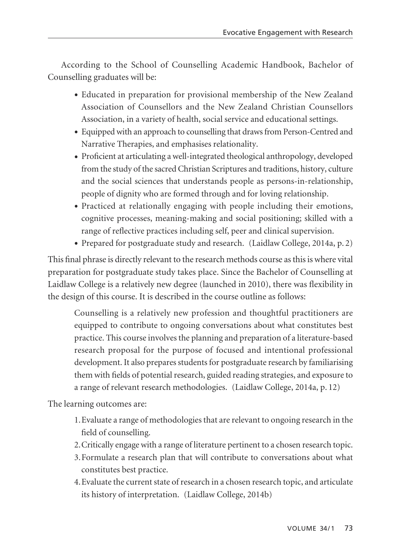According to the School of Counselling Academic Handbook, Bachelor of Counselling graduates will be:

- Educated in preparation for provisional membership of the New Zealand Association of Counsellors and the New Zealand Christian Counsellors Association, in a variety of health, social service and educational settings.
- Equipped with an approach to counselling that draws from Person-Centred and Narrative Therapies, and emphasises relationality.
- Proficient at articulating a well-integrated theological anthropology, developed from the study of the sacred Christian Scriptures and traditions, history, culture and the social sciences that understands people as persons-in-relationship, people of dignity who are formed through and for loving relationship.
- Practiced at relationally engaging with people including their emotions, cognitive processes, meaning-making and social positioning; skilled with a range of reflective practices including self, peer and clinical supervision.
- Prepared for postgraduate study and research. (Laidlaw College, 2014a, p. 2)

This final phrase is directly relevant to the research methods course as this is where vital preparation for postgraduate study takes place. Since the Bachelor of Counselling at Laidlaw College is a relatively new degree (launched in 2010), there was flexibility in the design of this course. It is described in the course outline as follows:

Counselling is a relatively new profession and thoughtful practitioners are equipped to contribute to ongoing conversations about what constitutes best practice. This course involves the planning and preparation of a literature-based research proposal for the purpose of focused and intentional professional development. It also prepares students for postgraduate research by familiarising them with fields of potential research, guided reading strategies, and exposure to a range of relevant research methodologies. (Laidlaw College, 2014a, p. 12)

The learning outcomes are:

- 1.Evaluate a range of methodologies that are relevant to ongoing research in the field of counselling.
- 2.Critically engage with a range of literature pertinent to a chosen research topic.
- 3.Formulate a research plan that will contribute to conversations about what constitutes best practice.
- 4.Evaluate the current state of research in a chosen research topic, and articulate its history of interpretation. (Laidlaw College, 2014b)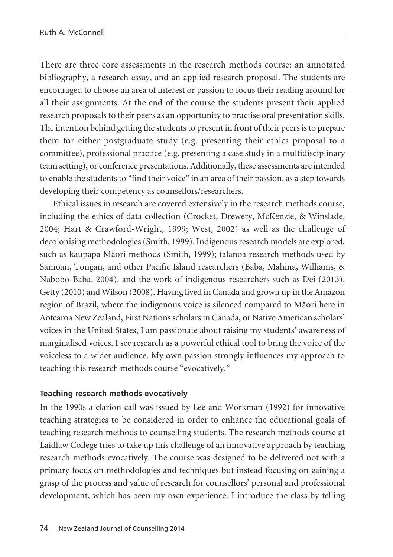There are three core assessments in the research methods course: an annotated bibliography, a research essay, and an applied research proposal. The students are encouraged to choose an area of interest or passion to focus their reading around for all their assignments. At the end of the course the students present their applied research proposals to their peers as an opportunity to practise oral presentation skills. The intention behind getting the students to present in front of their peers is to prepare them for either postgraduate study (e.g. presenting their ethics proposal to a committee), professional practice (e.g. presenting a case study in a multidisciplinary team setting), or conference presentations. Additionally, these assessments are intended to enable the students to "find their voice" in an area of their passion, as a step towards developing their competency as counsellors/researchers.

Ethical issues in research are covered extensively in the research methods course, including the ethics of data collection (Crocket, Drewery, McKenzie, & Winslade, 2004; Hart & Crawford-Wright, 1999; West, 2002) as well as the challenge of decolonising methodologies (Smith, 1999). Indigenous research models are explored, such as kaupapa Mäori methods (Smith, 1999); talanoa research methods used by Samoan, Tongan, and other Pacific Island researchers (Baba, Mahina, Williams, & Nabobo-Baba, 2004), and the work of indigenous researchers such as Dei (2013), Getty (2010) and Wilson (2008). Having lived in Canada and grown up in the Amazon region of Brazil, where the indigenous voice is silenced compared to Mäori here in Aotearoa New Zealand, First Nations scholars in Canada, or Native American scholars' voices in the United States, I am passionate about raising my students' awareness of marginalised voices. I see research as a powerful ethical tool to bring the voice of the voiceless to a wider audience. My own passion strongly influences my approach to teaching this research methods course "evocatively."

# **Teaching research methods evocatively**

In the 1990s a clarion call was issued by Lee and Workman (1992) for innovative teaching strategies to be considered in order to enhance the educational goals of teaching research methods to counselling students. The research methods course at Laidlaw College tries to take up this challenge of an innovative approach by teaching research methods evocatively. The course was designed to be delivered not with a primary focus on methodologies and techniques but instead focusing on gaining a grasp of the process and value of research for counsellors' personal and professional development, which has been my own experience. I introduce the class by telling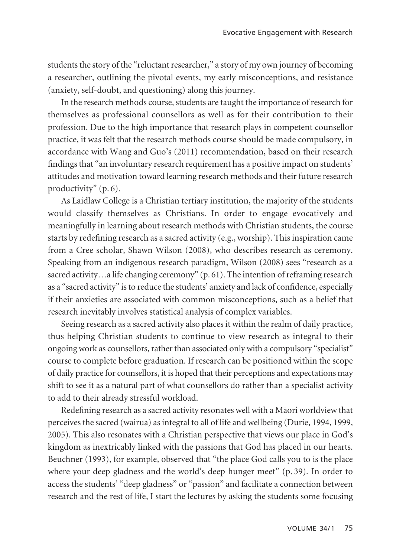students the story of the "reluctant researcher," a story of my own journey of becoming a researcher, outlining the pivotal events, my early misconceptions, and resistance (anxiety, self-doubt, and questioning) along this journey.

In the research methods course, students are taught the importance of research for themselves as professional counsellors as well as for their contribution to their profession. Due to the high importance that research plays in competent counsellor practice, it was felt that the research methods course should be made compulsory, in accordance with Wang and Guo's (2011) recommendation, based on their research findings that "an involuntary research requirement has a positive impact on students' attitudes and motivation toward learning research methods and their future research productivity" (p. 6).

As Laidlaw College is a Christian tertiary institution, the majority of the students would classify themselves as Christians. In order to engage evocatively and meaningfully in learning about research methods with Christian students, the course starts by redefining research as a sacred activity (e.g., worship). This inspiration came from a Cree scholar, Shawn Wilson (2008), who describes research as ceremony. Speaking from an indigenous research paradigm, Wilson (2008) sees "research as a sacred activity...a life changing ceremony" (p. 61). The intention of reframing research as a "sacred activity" is to reduce the students' anxiety and lack of confidence, especially if their anxieties are associated with common misconceptions, such as a belief that research inevitably involves statistical analysis of complex variables.

Seeing research as a sacred activity also places it within the realm of daily practice, thus helping Christian students to continue to view research as integral to their ongoing work as counsellors, rather than associated only with a compulsory "specialist" course to complete before graduation. If research can be positioned within the scope of daily practice for counsellors, it is hoped that their perceptions and expectations may shift to see it as a natural part of what counsellors do rather than a specialist activity to add to their already stressful workload.

Redefining research as a sacred activity resonates well with a Mäori worldview that perceives the sacred (wairua) as integral to all of life and wellbeing (Durie, 1994, 1999, 2005). This also resonates with a Christian perspective that views our place in God's kingdom as inextricably linked with the passions that God has placed in our hearts. Beuchner (1993), for example, observed that "the place God calls you to is the place where your deep gladness and the world's deep hunger meet" (p. 39). In order to access the students' "deep gladness" or "passion" and facilitate a connection between research and the rest of life, I start the lectures by asking the students some focusing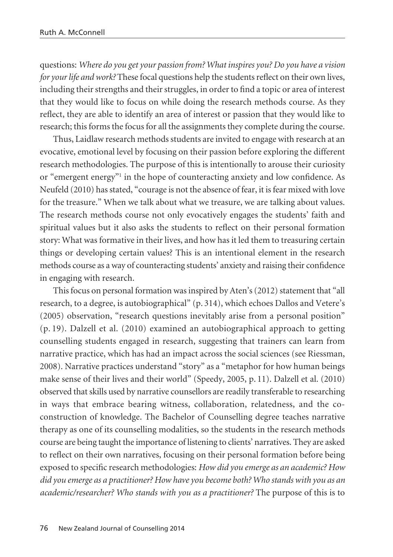questions: *Where do you get your passion from? What inspires you? Do you have a vision for your life and work?* These focal questions help the students reflect on their own lives, including their strengths and their struggles, in order to find a topic or area of interest that they would like to focus on while doing the research methods course. As they reflect, they are able to identify an area of interest or passion that they would like to research; this forms the focus for all the assignments they complete during the course.

Thus, Laidlaw research methods students are invited to engage with research at an evocative, emotional level by focusing on their passion before exploring the different research methodologies. The purpose of this is intentionally to arouse their curiosity or "emergent energy"1 in the hope of counteracting anxiety and low confidence. As Neufeld (2010) has stated, "courage is not the absence of fear, it is fear mixed with love for the treasure." When we talk about what we treasure, we are talking about values. The research methods course not only evocatively engages the students' faith and spiritual values but it also asks the students to reflect on their personal formation story: What was formative in their lives, and how has it led them to treasuring certain things or developing certain values? This is an intentional element in the research methods course as a way of counteracting students' anxiety and raising their confidence in engaging with research.

This focus on personal formation was inspired by Aten's (2012) statement that "all research, to a degree, is autobiographical" (p. 314), which echoes Dallos and Vetere's (2005) observation, "research questions inevitably arise from a personal position" (p. 19). Dalzell et al. (2010) examined an autobiographical approach to getting counselling students engaged in research, suggesting that trainers can learn from narrative practice, which has had an impact across the social sciences (see Riessman, 2008). Narrative practices understand "story" as a "metaphor for how human beings make sense of their lives and their world" (Speedy, 2005, p. 11). Dalzell et al. (2010) observed that skills used by narrative counsellors are readily transferable to researching in ways that embrace bearing witness, collaboration, relatedness, and the coconstruction of knowledge. The Bachelor of Counselling degree teaches narrative therapy as one of its counselling modalities, so the students in the research methods course are being taught the importance of listening to clients' narratives. They are asked to reflect on their own narratives, focusing on their personal formation before being exposed to specific research methodologies: *How did you emerge as an academic? How did you emerge as a practitioner? How have you become both? Who stands with you as an academic/researcher? Who stands with you as a practitioner?* The purpose of this is to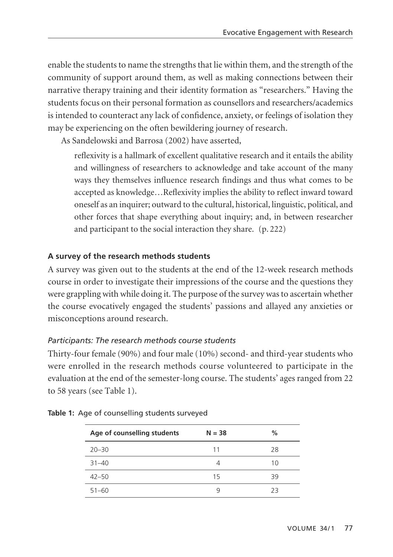enable the students to name the strengths that lie within them, and the strength of the community of support around them, as well as making connections between their narrative therapy training and their identity formation as "researchers." Having the students focus on their personal formation as counsellors and researchers/academics is intended to counteract any lack of confidence, anxiety, or feelings of isolation they may be experiencing on the often bewildering journey of research.

As Sandelowski and Barrosa (2002) have asserted,

reflexivity is a hallmark of excellent qualitative research and it entails the ability and willingness of researchers to acknowledge and take account of the many ways they themselves influence research findings and thus what comes to be accepted as knowledge…Reflexivity implies the ability to reflect inward toward oneself as an inquirer; outward to the cultural, historical, linguistic, political, and other forces that shape everything about inquiry; and, in between researcher and participant to the social interaction they share. (p. 222)

# **A survey of the research methods students**

A survey was given out to the students at the end of the 12-week research methods course in order to investigate their impressions of the course and the questions they were grappling with while doing it. The purpose of the survey was to ascertain whether the course evocatively engaged the students' passions and allayed any anxieties or misconceptions around research.

# *Participants: The research methods course students*

Thirty-four female (90%) and four male (10%) second- and third-year students who were enrolled in the research methods course volunteered to participate in the evaluation at the end of the semester-long course. The students' ages ranged from 22 to 58 years (see Table 1).

| Age of counselling students | $N = 38$ | %  |
|-----------------------------|----------|----|
| $20 - 30$                   | 11       | 28 |
| $31 - 40$                   | 4        | 10 |
| $42 - 50$                   | 15       | 39 |
| $51 - 60$                   | q        | 23 |

|  |  | Table 1: Age of counselling students surveyed |  |  |
|--|--|-----------------------------------------------|--|--|
|  |  |                                               |  |  |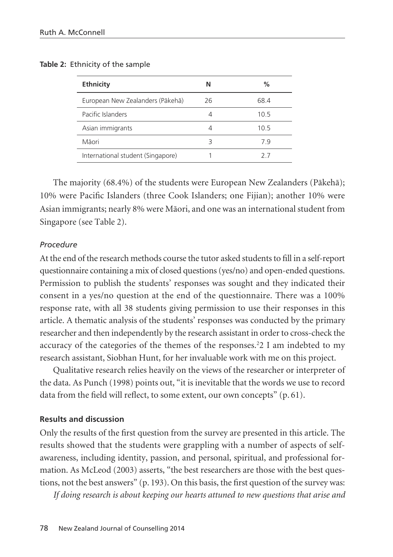| Ethnicity                         | N  | ℅    |
|-----------------------------------|----|------|
| European New Zealanders (Pākehā)  | 26 | 68.4 |
| Pacific Islanders                 | 4  | 10.5 |
| Asian immigrants                  | 4  | 10.5 |
| Māori                             | 3  | 79   |
| International student (Singapore) |    | 7/   |

#### **Table 2:** Ethnicity of the sample

The majority (68.4%) of the students were European New Zealanders (Päkehä); 10% were Pacific Islanders (three Cook Islanders; one Fijian); another 10% were Asian immigrants; nearly 8% were Mäori, and one was an international student from Singapore (see Table 2).

#### *Procedure*

At the end of the research methods course the tutor asked students to fill in a self-report questionnaire containing a mix of closed questions (yes/no) and open-ended questions. Permission to publish the students' responses was sought and they indicated their consent in a yes/no question at the end of the questionnaire. There was a 100% response rate, with all 38 students giving permission to use their responses in this article. A thematic analysis of the students' responses was conducted by the primary researcher and then independently by the research assistant in order to cross-check the accuracy of the categories of the themes of the responses.<sup>2</sup>2 I am indebted to my research assistant, Siobhan Hunt, for her invaluable work with me on this project.

Qualitative research relies heavily on the views of the researcher or interpreter of the data. As Punch (1998) points out, "it is inevitable that the words we use to record data from the field will reflect, to some extent, our own concepts" (p. 61).

# **Results and discussion**

Only the results of the first question from the survey are presented in this article. The results showed that the students were grappling with a number of aspects of selfawareness, including identity, passion, and personal, spiritual, and professional formation. As McLeod (2003) asserts, "the best researchers are those with the best questions, not the best answers" (p. 193). On this basis, the first question of the survey was:

*If doing research is about keeping our hearts attuned to new questions that arise and*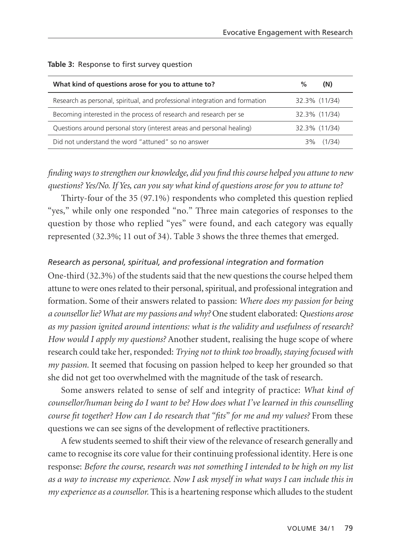| What kind of questions arose for you to attune to?                          | $\%$<br>(N)   |
|-----------------------------------------------------------------------------|---------------|
| Research as personal, spiritual, and professional integration and formation | 32.3% (11/34) |
| Becoming interested in the process of research and research per se          | 32.3% (11/34) |
| Questions around personal story (interest areas and personal healing)       | 32.3% (11/34) |
| Did not understand the word "attuned" so no answer                          | $3\%$ (1/34)  |

#### **Table 3:** Response to first survey question

# *finding ways to strengthen our knowledge, did you find this course helped you attune to new questions? Yes/No. If Yes, can you say what kind of questions arose for you to attune to?*

Thirty-four of the 35 (97.1%) respondents who completed this question replied "yes," while only one responded "no." Three main categories of responses to the question by those who replied "yes" were found, and each category was equally represented (32.3%; 11 out of 34). Table 3 shows the three themes that emerged.

# *Research as personal, spiritual, and professional integration and formation*

One-third (32.3%) of the students said that the new questions the course helped them attune to were ones related to their personal, spiritual, and professional integration and formation. Some of their answers related to passion: *Where does my passion for being a counsellor lie? What are my passions and why?* One student elaborated: *Questions arose as my passion ignited around intentions: what is the validity and usefulness of research? How would I apply my questions?* Another student, realising the huge scope of where research could take her, responded: *Trying not to think too broadly, staying focused with my passion.* It seemed that focusing on passion helped to keep her grounded so that she did not get too overwhelmed with the magnitude of the task of research.

Some answers related to sense of self and integrity of practice: *What kind of counsellor/human being do I want to be? How does what I've learned in this counselling course fit together? How can I do research that "fits" for me and my values?* From these questions we can see signs of the development of reflective practitioners.

A few students seemed to shift their view of the relevance of research generally and came to recognise its core value for their continuing professional identity. Here is one response: *Before the course, research was not something I intended to be high on my list as a way to increase my experience. Now I ask myself in what ways I can include this in my experience as a counsellor.* This is a heartening response which alludes to the student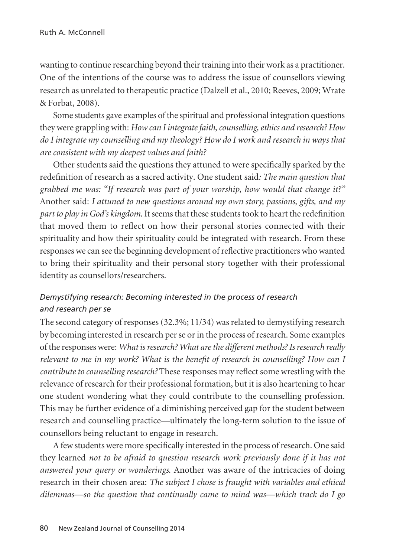wanting to continue researching beyond their training into their work as a practitioner. One of the intentions of the course was to address the issue of counsellors viewing research as unrelated to therapeutic practice (Dalzell et al., 2010; Reeves, 2009; Wrate & Forbat, 2008).

Some students gave examples of the spiritual and professional integration questions they were grappling with: *How can I integrate faith, counselling, ethics and research? How do I integrate my counselling and my theology? How do I work and research in ways that are consistent with my deepest values and faith?*

Other students said the questions they attuned to were specifically sparked by the redefinition of research as a sacred activity. One student said*: The main question that grabbed me was: "If research was part of your worship, how would that change it?"* Another said: *I attuned to new questions around my own story, passions, gifts, and my part to play in God's kingdom*. It seems that these students took to heart the redefinition that moved them to reflect on how their personal stories connected with their spirituality and how their spirituality could be integrated with research. From these responses we can see the beginning development of reflective practitioners who wanted to bring their spirituality and their personal story together with their professional identity as counsellors/researchers.

# *Demystifying research: Becoming interested in the process of research and research per se*

The second category of responses (32.3%; 11/34) was related to demystifying research by becoming interested in research per se or in the process of research. Some examples of the responses were: *What is research? What are the different methods? Is research really relevant to me in my work? What is the benefit of research in counselling? How can I contribute to counselling research?* These responses may reflect some wrestling with the relevance of research for their professional formation, but it is also heartening to hear one student wondering what they could contribute to the counselling profession. This may be further evidence of a diminishing perceived gap for the student between research and counselling practice—ultimately the long-term solution to the issue of counsellors being reluctant to engage in research.

A few students were more specifically interested in the process of research. One said they learned *not to be afraid to question research work previously done if it has not answered your query or wonderings*. Another was aware of the intricacies of doing research in their chosen area: *The subject I chose is fraught with variables and ethical dilemmas—so the question that continually came to mind was—which track do I go*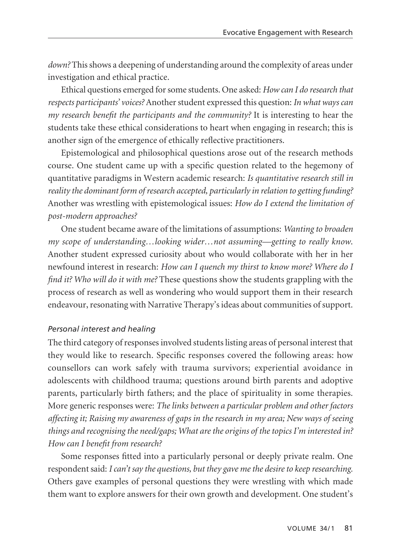*down?* This shows a deepening of understanding around the complexity of areas under investigation and ethical practice.

Ethical questions emerged for some students. One asked: *How can I do research that respects participants' voices?* Another student expressed this question: *In what ways can my research benefit the participants and the community?* It is interesting to hear the students take these ethical considerations to heart when engaging in research; this is another sign of the emergence of ethically reflective practitioners.

Epistemological and philosophical questions arose out of the research methods course. One student came up with a specific question related to the hegemony of quantitative paradigms in Western academic research: *Is quantitative research still in reality the dominant form of research accepted, particularly in relation to getting funding?* Another was wrestling with epistemological issues: *How do I extend the limitation of post-modern approaches?*

One student became aware of the limitations of assumptions: *Wanting to broaden my scope of understanding…looking wider…not assuming—getting to really know*. Another student expressed curiosity about who would collaborate with her in her newfound interest in research: *How can I quench my thirst to know more? Where do I find it? Who will do it with me?* These questions show the students grappling with the process of research as well as wondering who would support them in their research endeavour, resonating with Narrative Therapy's ideas about communities of support.

# *Personal interest and healing*

The third category of responses involved students listing areas of personal interest that they would like to research. Specific responses covered the following areas: how counsellors can work safely with trauma survivors; experiential avoidance in adolescents with childhood trauma; questions around birth parents and adoptive parents, particularly birth fathers; and the place of spirituality in some therapies. More generic responses were: *The links between a particular problem and other factors affecting it; Raising my awareness of gaps in the research in my area; New ways of seeing things and recognising the need/gaps; What are the origins of the topics I'm interested in? How can I benefit from research?*

Some responses fitted into a particularly personal or deeply private realm. One respondent said: *I can't say the questions, but they gave me the desire to keep researching.* Others gave examples of personal questions they were wrestling with which made them want to explore answers for their own growth and development. One student's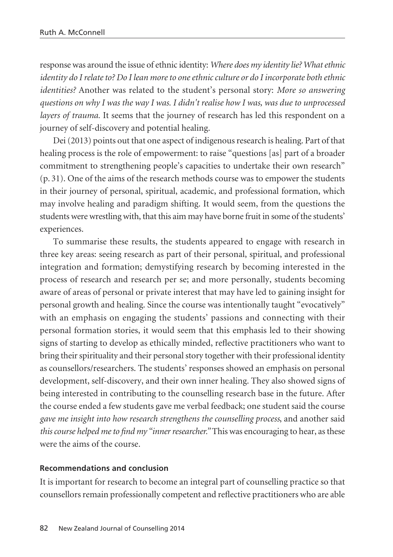response was around the issue of ethnic identity: *Where does my identity lie? What ethnic identity do I relate to? Do I lean more to one ethnic culture or do I incorporate both ethnic identities?* Another was related to the student's personal story: *More so answering questions on why I was the way I was. I didn't realise how I was, was due to unprocessed layers of trauma.* It seems that the journey of research has led this respondent on a journey of self-discovery and potential healing.

Dei (2013) points out that one aspect of indigenous research is healing. Part of that healing process is the role of empowerment: to raise "questions [as] part of a broader commitment to strengthening people's capacities to undertake their own research" (p. 31). One of the aims of the research methods course was to empower the students in their journey of personal, spiritual, academic, and professional formation, which may involve healing and paradigm shifting. It would seem, from the questions the students were wrestling with, that this aim may have borne fruit in some of the students' experiences.

To summarise these results, the students appeared to engage with research in three key areas: seeing research as part of their personal, spiritual, and professional integration and formation; demystifying research by becoming interested in the process of research and research per se; and more personally, students becoming aware of areas of personal or private interest that may have led to gaining insight for personal growth and healing. Since the course was intentionally taught "evocatively" with an emphasis on engaging the students' passions and connecting with their personal formation stories, it would seem that this emphasis led to their showing signs of starting to develop as ethically minded, reflective practitioners who want to bring their spirituality and their personal story together with their professional identity as counsellors/researchers. The students' responses showed an emphasis on personal development, self-discovery, and their own inner healing. They also showed signs of being interested in contributing to the counselling research base in the future. After the course ended a few students gave me verbal feedback; one student said the course *gave me insight into how research strengthens the counselling process*, and another said *this course helped me to find my "inner researcher."* This was encouraging to hear, as these were the aims of the course.

# **Recommendations and conclusion**

It is important for research to become an integral part of counselling practice so that counsellors remain professionally competent and reflective practitioners who are able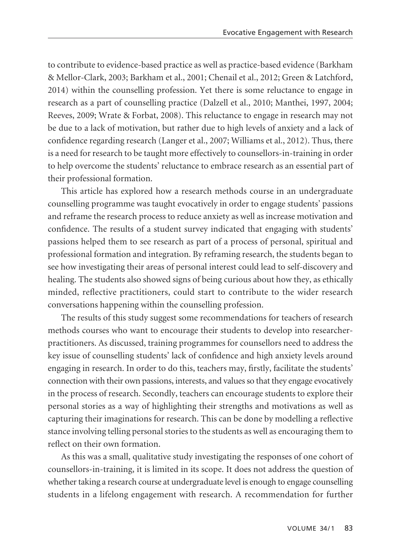to contribute to evidence-based practice as well as practice-based evidence (Barkham & Mellor-Clark, 2003; Barkham et al., 2001; Chenail et al., 2012; Green & Latchford, 2014) within the counselling profession. Yet there is some reluctance to engage in research as a part of counselling practice (Dalzell et al., 2010; Manthei, 1997, 2004; Reeves, 2009; Wrate & Forbat, 2008). This reluctance to engage in research may not be due to a lack of motivation, but rather due to high levels of anxiety and a lack of confidence regarding research (Langer et al., 2007; Williams et al., 2012). Thus, there is a need for research to be taught more effectively to counsellors-in-training in order to help overcome the students' reluctance to embrace research as an essential part of their professional formation.

This article has explored how a research methods course in an undergraduate counselling programme was taught evocatively in order to engage students' passions and reframe the research process to reduce anxiety as well as increase motivation and confidence. The results of a student survey indicated that engaging with students' passions helped them to see research as part of a process of personal, spiritual and professional formation and integration. By reframing research, the students began to see how investigating their areas of personal interest could lead to self-discovery and healing. The students also showed signs of being curious about how they, as ethically minded, reflective practitioners, could start to contribute to the wider research conversations happening within the counselling profession.

The results of this study suggest some recommendations for teachers of research methods courses who want to encourage their students to develop into researcherpractitioners. As discussed, training programmes for counsellors need to address the key issue of counselling students' lack of confidence and high anxiety levels around engaging in research. In order to do this, teachers may, firstly, facilitate the students' connection with their own passions, interests, and values so that they engage evocatively in the process of research. Secondly, teachers can encourage students to explore their personal stories as a way of highlighting their strengths and motivations as well as capturing their imaginations for research. This can be done by modelling a reflective stance involving telling personal stories to the students as well as encouraging them to reflect on their own formation.

As this was a small, qualitative study investigating the responses of one cohort of counsellors-in-training, it is limited in its scope. It does not address the question of whether taking a research course at undergraduate level is enough to engage counselling students in a lifelong engagement with research. A recommendation for further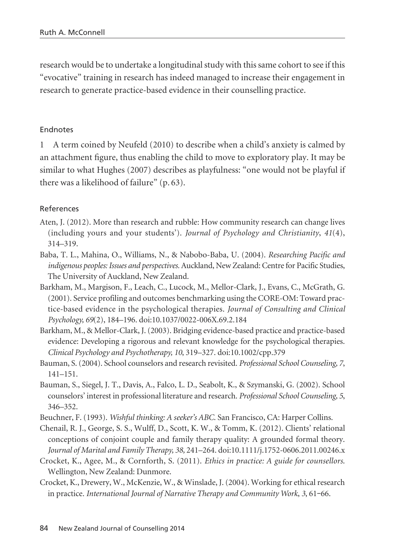research would be to undertake a longitudinal study with this same cohort to see if this "evocative" training in research has indeed managed to increase their engagement in research to generate practice-based evidence in their counselling practice.

# Endnotes

1 A term coined by Neufeld (2010) to describe when a child's anxiety is calmed by an attachment figure, thus enabling the child to move to exploratory play. It may be similar to what Hughes (2007) describes as playfulness: "one would not be playful if there was a likelihood of failure" (p. 63).

# References

- Aten, J. (2012). More than research and rubble: How community research can change lives (including yours and your students'). *Journal of Psychology and Christianity*, *41*(4), 314–319.
- Baba, T. L., Mahina, O., Williams, N., & Nabobo-Baba, U. (2004). *Researching Pacific and indigenous peoples: Issues and perspectives.* Auckland, New Zealand: Centre for Pacific Studies, The University of Auckland, New Zealand.
- Barkham, M., Margison, F., Leach, C., Lucock, M., Mellor-Clark, J., Evans, C., McGrath, G. (2001). Service profiling and outcomes benchmarking using the CORE-OM: Toward practice-based evidence in the psychological therapies. *Journal of Consulting and Clinical Psychology, 69*(2), 184–196. doi:10.1037/0022-006X.69.2.184
- Barkham, M., & Mellor-Clark, J. (2003). Bridging evidence-based practice and practice-based evidence: Developing a rigorous and relevant knowledge for the psychological therapies. *Clinical Psychology and Psychotherapy, 10*, 319–327. doi:10.1002/cpp.379
- Bauman, S. (2004). School counselors and research revisited. *Professional School Counseling, 7*, 141–151.
- Bauman, S., Siegel, J. T., Davis, A., Falco, L. D., Seabolt, K., & Szymanski, G. (2002). School counselors' interest in professional literature and research. *Professional School Counseling, 5*, 346–352.
- Beuchner, F. (1993). *Wishful thinking: A seeker's ABC*. San Francisco, CA: Harper Collins.
- Chenail, R. J., George, S. S., Wulff, D., Scott, K. W., & Tomm, K. (2012). Clients' relational conceptions of conjoint couple and family therapy quality: A grounded formal theory. *Journal of Marital and Family Therapy, 38,* 241–264. doi:10.1111/j.1752-0606.2011.00246.x
- Crocket, K., Agee, M., & Cornforth, S. (2011). *Ethics in practice: A guide for counsellors*. Wellington, New Zealand: Dunmore.
- Crocket, K., Drewery, W., McKenzie, W., & Winslade, J. (2004). Working for ethical research in practice. *International Journal of Narrative Therapy and Community Work*, *3*, 61**‒**66.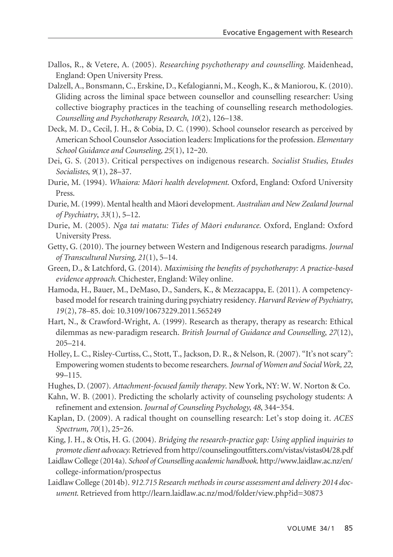- Dallos, R., & Vetere, A. (2005). *Researching psychotherapy and counselling*. Maidenhead, England: Open University Press.
- Dalzell, A., Bonsmann, C., Erskine, D., Kefalogianni, M., Keogh, K., & Maniorou, K. (2010). Gliding across the liminal space between counsellor and counselling researcher: Using collective biography practices in the teaching of counselling research methodologies. *Counselling and Psychotherapy Research*, *10*(2), 126–138.
- Deck, M. D., Cecil, J. H., & Cobia, D. C. (1990). School counselor research as perceived by American School Counselor Association leaders: Implications for the profession. *Elementary School Guidance and Counseling, 25*(1), 12**‒**20.
- Dei, G. S. (2013). Critical perspectives on indigenous research. *Socialist Studies, Etudes Socialistes*, *9*(1), 28–37.
- Durie, M. (1994). *Whaiora: Mäori health development*. Oxford, England: Oxford University Press.
- Durie, M. (1999). Mental health and Mäori development. *Australian and New Zealand Journal of Psychiatry*, *33*(1), 5–12.
- Durie, M. (2005). *Nga tai matatu: Tides of Mäori endurance*. Oxford, England: Oxford University Press.
- Getty, G. (2010). The journey between Western and Indigenous research paradigms. *Journal of Transcultural Nursing*, *21*(1), 5–14.
- Green, D., & Latchford, G. (2014). *Maximising the benefits of psychotherapy: A practice-based evidence approach*. Chichester, England: Wiley online.
- Hamoda, H., Bauer, M., DeMaso, D., Sanders, K., & Mezzacappa, E. (2011). A competencybased model for research training during psychiatry residency. *Harvard Review of Psychiatry*, *19*(2), 78–85. doi: 10.3109/10673229.2011.565249
- Hart, N., & Crawford-Wright, A. (1999). Research as therapy, therapy as research: Ethical dilemmas as new-paradigm research. *British Journal of Guidance and Counselling*, *27*(12), 205–214.
- Holley, L. C., Risley-Curtiss, C., Stott, T., Jackson, D. R., & Nelson, R. (2007). "It's not scary": Empowering women students to become researchers. *Journal of Women and Social Work, 22*, 99–115.
- Hughes, D. (2007). *Attachment-focused family therapy*. New York, NY: W. W. Norton & Co.
- Kahn, W. B. (2001). Predicting the scholarly activity of counseling psychology students: A refinement and extension. *Journal of Counseling Psychology, 48*, 344**‒**354.
- Kaplan, D. (2009). A radical thought on counselling research: Let's stop doing it. *ACES Spectrum, 70*(1), 25**‒**26.
- King, J. H., & Otis, H. G. (2004). *Bridging the research-practice gap: Using applied inquiries to promote client advocacy.* Retrieved from http://counselingoutfitters.com/vistas/vistas04/28.pdf
- Laidlaw College (2014a). *School of Counselling academic handbook*. http://www.laidlaw.ac.nz/en/ college-information/prospectus
- Laidlaw College (2014b). *912.715 Research methods in course assessment and delivery 2014 document*. Retrieved from http://learn.laidlaw.ac.nz/mod/folder/view.php?id=30873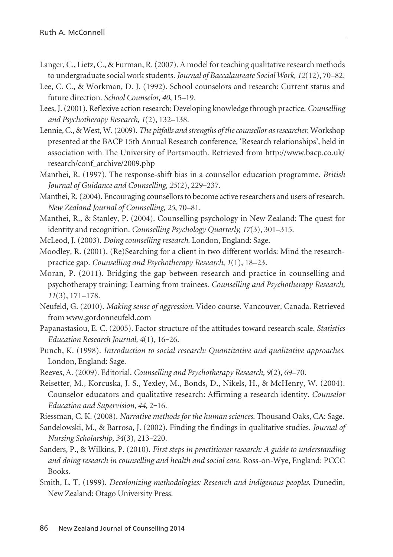- Langer, C., Lietz, C., & Furman, R. (2007). A model for teaching qualitative research methods to undergraduate social work students. *Journal of Baccalaureate Social Work*, *12*(12), 70–82.
- Lee, C. C., & Workman, D. J. (1992). School counselors and research: Current status and future direction. *School Counselor, 40*, 15–19.
- Lees, J. (2001). Reflexive action research: Developing knowledge through practice. *Counselling and Psychotherapy Research*, *1*(2), 132–138.
- Lennie, C., & West, W. (2009). *The pitfalls and strengths of the counsellor as researcher*. Workshop presented at the BACP 15th Annual Research conference, 'Research relationships', held in association with The University of Portsmouth. Retrieved from http://www.bacp.co.uk/ research/conf\_archive/2009.php
- Manthei, R. (1997). The response-shift bias in a counsellor education programme. *British Journal of Guidance and Counselling*, *25*(2), 229**‒**237.
- Manthei, R. (2004). Encouraging counsellors to become active researchers and users of research. *New Zealand Journal of Counselling*, *25*, 70–81.
- Manthei, R., & Stanley, P. (2004). Counselling psychology in New Zealand: The quest for identity and recognition. *Counselling Psychology Quarterly, 17*(3), 301–315.
- McLeod, J. (2003). *Doing counselling research.* London, England: Sage.
- Moodley, R. (2001). (Re)Searching for a client in two different worlds: Mind the researchpractice gap. *Counselling and Psychotherapy Research*, *1*(1), 18–23.
- Moran, P. (2011). Bridging the gap between research and practice in counselling and psychotherapy training: Learning from trainees. *Counselling and Psychotherapy Research, 11*(3), 171–178.
- Neufeld, G. (2010). *Making sense of aggression*. Video course. Vancouver, Canada. Retrieved from www.gordonneufeld.com
- Papanastasiou, E. C. (2005). Factor structure of the attitudes toward research scale. *Statistics Education Research Journal, 4*(1), 16**‒**26.
- Punch, K. (1998). *Introduction to social research: Quantitative and qualitative approaches*. London, England: Sage.
- Reeves, A. (2009). Editorial. *Counselling and Psychotherapy Research, 9*(2), 69–70.
- Reisetter, M., Korcuska, J. S., Yexley, M., Bonds, D., Nikels, H., & McHenry, W. (2004). Counselor educators and qualitative research: Affirming a research identity. *Counselor Education and Supervision, 44*, 2**‒**16.
- Riessman, C. K. (2008). *Narrative methods for the human sciences*. Thousand Oaks, CA: Sage.
- Sandelowski, M., & Barrosa, J. (2002). Finding the findings in qualitative studies. *Journal of Nursing Scholarship, 34*(3), 213**‒**220.
- Sanders, P., & Wilkins, P. (2010). *First steps in practitioner research: A guide to understanding and doing research in counselling and health and social care*. Ross-on-Wye, England: PCCC Books.
- Smith, L. T. (1999). *Decolonizing methodologies: Research and indigenous peoples*. Dunedin, New Zealand: Otago University Press.